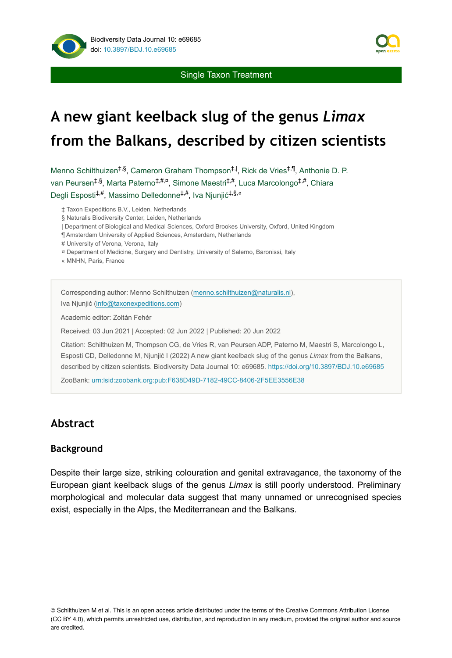

Single Taxon Treatment

# **A new giant keelback slug of the genus** *Limax* **from the Balkans, described by citizen scientists**

Menno Schilthuizen<sup>‡,§</sup>, Cameron Graham Thompson<sup>‡, |</sup>, Rick de Vries<sup>‡,¶</sup>, Anthonie D. P. van Peursen<sup>‡,§</sup>, Marta Paterno<sup>‡,#,¤</sup>, Simone Maestri<sup>‡,#</sup>, Luca Marcolongo<sup>‡,#</sup>, Chiara Degli Esposti<sup>‡,#</sup>, Massimo Delledonne<sup>‡,#</sup>, Iva Njunjić<sup>‡,§,«</sup>

‡ Taxon Expeditions B.V., Leiden, Netherlands

§ Naturalis Biodiversity Center, Leiden, Netherlands

| Department of Biological and Medical Sciences, Oxford Brookes University, Oxford, United Kingdom

¶ Amsterdam University of Applied Sciences, Amsterdam, Netherlands

# University of Verona, Verona, Italy

- ¤ Department of Medicine, Surgery and Dentistry, University of Salerno, Baronissi, Italy
- « MNHN, Paris, France

Corresponding author: Menno Schilthuizen ([menno.schilthuizen@naturalis.nl\)](mailto:menno.schilthuizen@naturalis.nl), Iva Njunjić ([info@taxonexpeditions.com\)](mailto:info@taxonexpeditions.com)

Academic editor: Zoltán Fehér

Received: 03 Jun 2021 | Accepted: 02 Jun 2022 | Published: 20 Jun 2022

Citation: Schilthuizen M, Thompson CG, de Vries R, van Peursen ADP, Paterno M, Maestri S, Marcolongo L, Esposti CD, Delledonne M, Njunjić I (2022) A new giant keelback slug of the genus *Limax* from the Balkans, described by citizen scientists. Biodiversity Data Journal 10: e69685.<https://doi.org/10.3897/BDJ.10.e69685>

ZooBank: [urn:lsid:zoobank.org:pub:F638D49D-7182-49CC-8406-2F5EE3556E38](http://zoobank.org/F638D49D-7182-49CC-8406-2F5EE3556E38)

## **Abstract**

#### **Background**

Despite their large size, striking colouration and genital extravagance, the taxonomy of the European giant keelback slugs of the genus *Limax* is still poorly understood. Preliminary morphological and molecular data suggest that many unnamed or unrecognised species exist, especially in the Alps, the Mediterranean and the Balkans.

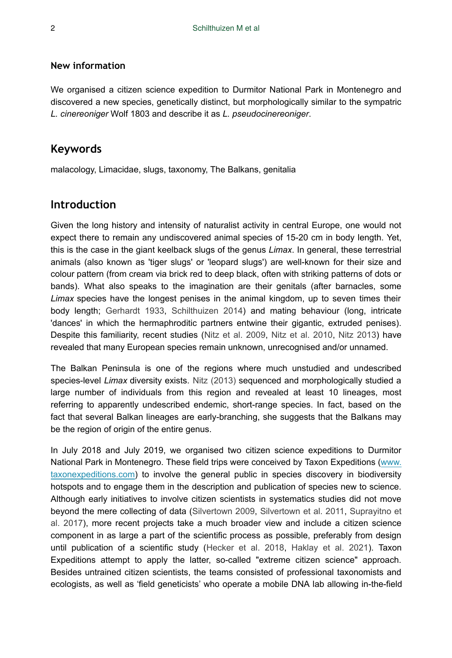## **New information**

We organised a citizen science expedition to Durmitor National Park in Montenegro and discovered a new species, genetically distinct, but morphologically similar to the sympatric *L. cinereoniger* Wolf 1803 and describe it as *L. pseudocinereoniger*.

## **Keywords**

malacology, Limacidae, slugs, taxonomy, The Balkans, genitalia

## **Introduction**

Given the long history and intensity of naturalist activity in central Europe, one would not expect there to remain any undiscovered animal species of 15-20 cm in body length. Yet, this is the case in the giant keelback slugs of the genus *Limax*. In general, these terrestrial animals (also known as 'tiger slugs' or 'leopard slugs') are well-known for their size and colour pattern (from cream via brick red to deep black, often with striking patterns of dots or bands). What also speaks to the imagination are their genitals (after barnacles, some *Limax* species have the longest penises in the animal kingdom, up to seven times their body length; [Gerhardt 1933,](#page-13-0) [Schilthuizen 2014](#page-13-1)) and mating behaviour (long, intricate 'dances' in which the hermaphroditic partners entwine their gigantic, extruded penises). Despite this familiarity, recent studies [\(Nitz et al. 2009,](#page-13-2) [Nitz et al. 2010,](#page-13-3) [Nitz 2013](#page-13-4)) have revealed that many European species remain unknown, unrecognised and/or unnamed.

The Balkan Peninsula is one of the regions where much unstudied and undescribed species-level *Limax* diversity exists. [Nitz \(2013\)](#page-13-4) sequenced and morphologically studied a large number of individuals from this region and revealed at least 10 lineages, most referring to apparently undescribed endemic, short-range species. In fact, based on the fact that several Balkan lineages are early-branching, she suggests that the Balkans may be the region of origin of the entire genus.

In July 2018 and July 2019, we organised two citizen science expeditions to Durmitor National Park in Montenegro. These field trips were conceived by Taxon Expeditions ([www.](http://www.taxonexpeditions.org) [taxonexpeditions.com](http://www.taxonexpeditions.org)) to involve the general public in species discovery in biodiversity hotspots and to engage them in the description and publication of species new to science. Although early initiatives to involve citizen scientists in systematics studies did not move beyond the mere collecting of data ([Silvertown 2009](#page-13-5), [Silvertown et al. 2011](#page-13-6), [Suprayitno et](#page-14-0) [al. 2017\)](#page-14-0), more recent projects take a much broader view and include a citizen science component in as large a part of the scientific process as possible, preferably from design until publication of a scientific study [\(Hecker et al. 2018,](#page-13-7) [Haklay et al. 2021\)](#page-13-8). Taxon Expeditions attempt to apply the latter, so-called "extreme citizen science" approach. Besides untrained citizen scientists, the teams consisted of professional taxonomists and ecologists, as well as 'field geneticists' who operate a mobile DNA lab allowing in-the-field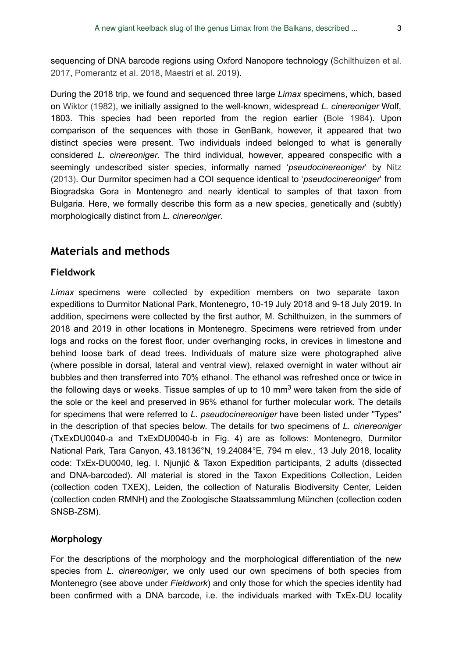sequencing of DNA barcode regions using Oxford Nanopore technology ([Schilthuizen et al.](#page-13-9) [2017](#page-13-9), [Pomerantz et al. 2018,](#page-13-10) [Maestri et al. 2019\)](#page-13-11).

During the 2018 trip, we found and sequenced three large *Limax* specimens, which, based on [Wiktor \(1982\),](#page-14-1) we initially assigned to the well-known, widespread *L. cinereoniger* Wolf, 1803. This species had been reported from the region earlier ([Bole 1984\)](#page-12-0). Upon comparison of the sequences with those in GenBank, however, it appeared that two distinct species were present. Two individuals indeed belonged to what is generally considered *L. cinereoniger*. The third individual, however, appeared conspecific with a seemingly undescribed sister species, informally named '*pseudocinereoniger*' by [Nitz](#page-13-4) [\(2013\)](#page-13-4). Our Durmitor specimen had a COI sequence identical to '*pseudocinereoniger*' from Biogradska Gora in Montenegro and nearly identical to samples of that taxon from Bulgaria. Here, we formally describe this form as a new species, genetically and (subtly) morphologically distinct from *L. cinereoniger*.

# **Materials and methods**

#### **Fieldwork**

*Limax* specimens were collected by expedition members on two separate taxon expeditions to Durmitor National Park, Montenegro, 10-19 July 2018 and 9-18 July 2019. In addition, specimens were collected by the first author, M. Schilthuizen, in the summers of 2018 and 2019 in other locations in Montenegro. Specimens were retrieved from under logs and rocks on the forest floor, under overhanging rocks, in crevices in limestone and behind loose bark of dead trees. Individuals of mature size were photographed alive (where possible in dorsal, lateral and ventral view), relaxed overnight in water without air bubbles and then transferred into 70% ethanol. The ethanol was refreshed once or twice in the following days or weeks. Tissue samples of up to 10 mm<sup>3</sup> were taken from the side of the sole or the keel and preserved in 96% ethanol for further molecular work. The details for specimens that were referred to *L. pseudocinereoniger* have been listed under "Types" in the description of that species below. The details for two specimens of *L. cinereoniger* (TxExDU0040-a and TxExDU0040-b in Fig. 4) are as follows: Montenegro, Durmitor National Park, Tara Canyon, 43.18136°N, 19.24084°E, 794 m elev., 13 July 2018, locality code: TxEx-DU0040, leg. I. Njunjić & Taxon Expedition participants, 2 adults (dissected and DNA-barcoded). All material is stored in the Taxon Expeditions Collection, Leiden (collection coden TXEX), Leiden, the collection of Naturalis Biodiversity Center, Leiden (collection coden RMNH) and the Zoologische Staatssammlung München (collection coden SNSB-ZSM).

## **Morphology**

For the descriptions of the morphology and the morphological differentiation of the new species from *L. cinereoniger*, we only used our own specimens of both species from Montenegro (see above under *Fieldwork*) and only those for which the species identity had been confirmed with a DNA barcode, i.e. the individuals marked with TxEx-DU locality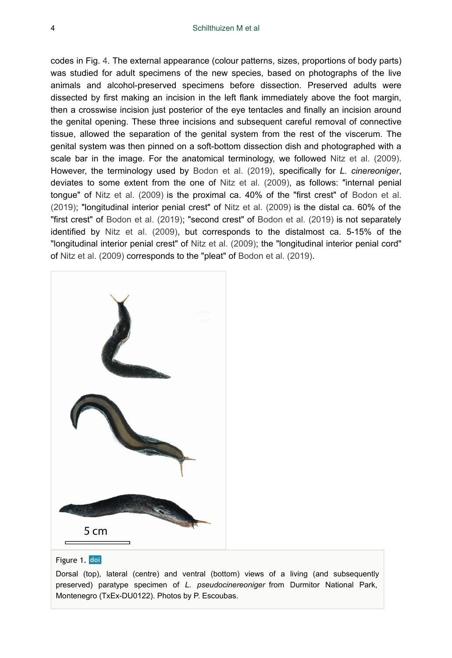codes in Fig. [4](#page-5-0). The external appearance (colour patterns, sizes, proportions of body parts) was studied for adult specimens of the new species, based on photographs of the live animals and alcohol-preserved specimens before dissection. Preserved adults were dissected by first making an incision in the left flank immediately above the foot margin, then a crosswise incision just posterior of the eye tentacles and finally an incision around the genital opening. These three incisions and subsequent careful removal of connective tissue, allowed the separation of the genital system from the rest of the viscerum. The genital system was then pinned on a soft-bottom dissection dish and photographed with a scale bar in the image. For the anatomical terminology, we followed [Nitz et al. \(2009\).](#page-13-2) However, the terminology used by [Bodon et al. \(2019\),](#page-12-1) specifically for *L. cinereoniger*, deviates to some extent from the one of [Nitz et al. \(2009\)](#page-13-2), as follows: "internal penial tongue" of [Nitz et al. \(2009\)](#page-13-2) is the proximal ca. 40% of the "first crest" of [Bodon et al.](#page-12-1) [\(2019\)](#page-12-1); "longitudinal interior penial crest" of [Nitz et al. \(2009\)](#page-13-2) is the distal ca. 60% of the "first crest" of [Bodon et al. \(2019\);](#page-12-1) "second crest" of [Bodon et al. \(2019\)](#page-12-1) is not separately identified by [Nitz et al. \(2009\),](#page-13-2) but corresponds to the distalmost ca. 5-15% of the "longitudinal interior penial crest" of [Nitz et al. \(2009\);](#page-13-2) the "longitudinal interior penial cord" of [Nitz et al. \(2009\)](#page-13-2) corresponds to the "pleat" of [Bodon et al. \(2019\).](#page-12-1)

<span id="page-3-0"></span>

#### Figure 1. doi

Dorsal (top), lateral (centre) and ventral (bottom) views of a living (and subsequently preserved) paratype specimen of *L. pseudocinereoniger* from Durmitor National Park, Montenegro (TxEx-DU0122). Photos by P. Escoubas.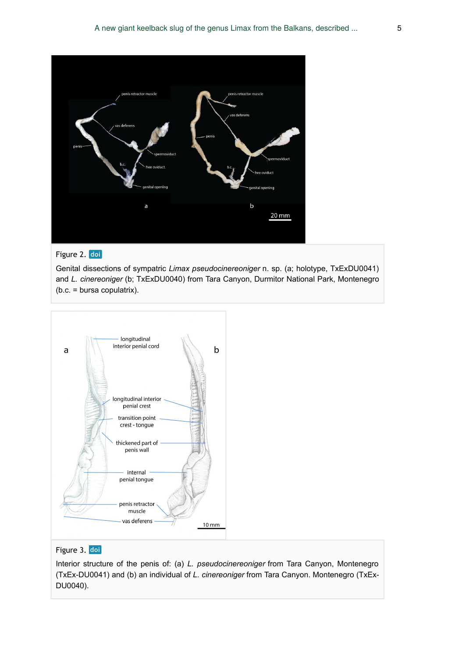<span id="page-4-0"></span>

## Figure 2. doi

Genital dissections of sympatric *Limax pseudocinereoniger* n. sp. (a; holotype, TxExDU0041) and *L. cinereoniger* (b; TxExDU0040) from Tara Canyon, Durmitor National Park, Montenegro (b.c. = bursa copulatrix).

<span id="page-4-1"></span>

#### Figure 3. doi

Interior structure of the penis of: (a) *L. pseudocinereoniger* from Tara Canyon, Montenegro (TxEx-DU0041) and (b) an individual of *L. cinereoniger* from Tara Canyon. Montenegro (TxEx-DU0040).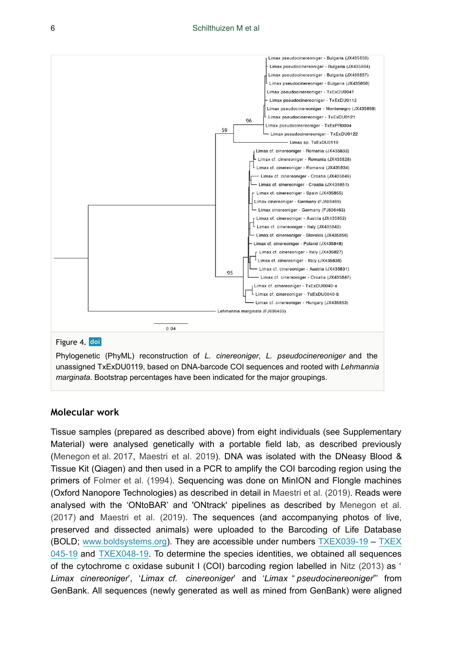<span id="page-5-0"></span>

Phylogenetic (PhyML) reconstruction of *L. cinereoniger*, *L. pseudocinereoniger* and the unassigned TxExDU0119, based on DNA-barcode COI sequences and rooted with *Lehmannia marginata*. Bootstrap percentages have been indicated for the major groupings.

#### **Molecular work**

Tissue samples (prepared as described above) from eight individuals (see Supplementary Material) were analysed genetically with a portable field lab, as described previously [\(Menegon et al. 2017,](#page-13-12) [Maestri et al. 2019\)](#page-13-11). DNA was isolated with the DNeasy Blood & Tissue Kit (Qiagen) and then used in a PCR to amplify the COI barcoding region using the primers of [Folmer et al. \(1994\)](#page-13-13). Sequencing was done on MinION and Flongle machines (Oxford Nanopore Technologies) as described in detail in [Maestri et al. \(2019\)](#page-13-11). Reads were analysed with the 'ONtoBAR' and 'ONtrack' pipelines as described by [Menegon et al.](#page-13-12) [\(2017\)](#page-13-12) and [Maestri et al. \(2019\).](#page-13-11) The sequences (and accompanying photos of live, preserved and dissected animals) were uploaded to the Barcoding of Life Database (BOLD; [www.boldsystems.org\)](http://www.boldsystems.com). They are accessible under numbers [TXEX039-19](http://www.boldsystems.org/index.php/Public_RecordView?processid=TXEX039-19) – [TXEX](http://www.boldsystems.org/index.php/Public_RecordView?processid=TXEX045-19) [045-19](http://www.boldsystems.org/index.php/Public_RecordView?processid=TXEX045-19) and [TXEX048-19.](http://www.boldsystems.org/index.php/Public_RecordView?processid=TXEX048-19) To determine the species identities, we obtained all sequences of the cytochrome c oxidase subunit I (COI) barcoding region labelled in [Nitz \(2013\)](#page-13-4) as ' *Limax cinereoniger*', '*Limax cf. cinereoniger*' and '*Limax* " *pseudocinereoniger*"' from GenBank. All sequences (newly generated as well as mined from GenBank) were aligned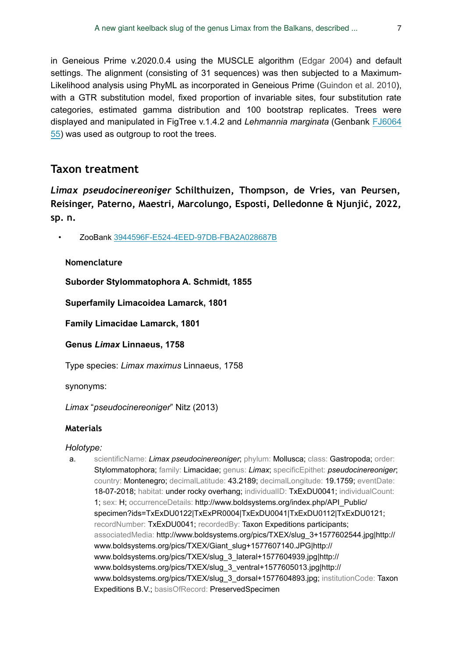in Geneious Prime v.2020.0.4 using the MUSCLE algorithm ([Edgar 2004\)](#page-12-2) and default settings. The alignment (consisting of 31 sequences) was then subjected to a Maximum-Likelihood analysis using PhyML as incorporated in Geneious Prime ([Guindon et al. 2010\)](#page-13-14), with a GTR substitution model, fixed proportion of invariable sites, four substitution rate categories, estimated gamma distribution and 100 bootstrap replicates. Trees were displayed and manipulated in FigTree v.1.4.2 and *Lehmannia marginata* (Genbank [FJ6064](https://www.ncbi.nlm.nih.gov/nuccore/FJ606455) [55](https://www.ncbi.nlm.nih.gov/nuccore/FJ606455)) was used as outgroup to root the trees.

# **Taxon treatment**

*Limax pseudocinereoniger* **Schilthuizen, Thompson, de Vries, van Peursen, Reisinger, Paterno, Maestri, Marcolungo, Esposti, Delledonne & Njunjić, 2022, sp. n.**

• ZooBank [3944596F-E524-4EED-97DB-FBA2A028687B](http://zoobank.org/3944596F-E524-4EED-97DB-FBA2A028687B)

## **Nomenclature**

**Suborder Stylommatophora A. Schmidt, 1855**

**Superfamily Limacoidea Lamarck, 1801**

**Family Limacidae Lamarck, 1801**

**Genus** *Limax* **Linnaeus, 1758**

Type species: *Limax maximus* Linnaeus, 1758

synonyms:

*Limax* "*pseudocinereoniger*" Nitz (2013)

## **Materials**

## *Holotype:*

a. scientificName: *Limax pseudocinereoniger*; phylum: Mollusca; class: Gastropoda; order: Stylommatophora; family: Limacidae; genus: *Limax*; specificEpithet: *pseudocinereoniger*; country: Montenegro; decimalLatitude: 43.2189; decimalLongitude: 19.1759; eventDate: 18-07-2018; habitat: under rocky overhang; individualID: TxExDU0041; individualCount: 1; sex: H; occurrenceDetails: http://www.boldsystems.org/index.php/API\_Public/ specimen?ids=TxExDU0122|TxExPR0004|TxExDU0041|TxExDU0112|TxExDU0121; recordNumber: TxExDU0041; recordedBy: Taxon Expeditions participants; associatedMedia: http://www.boldsystems.org/pics/TXEX/slug\_3+1577602544.jpg|http:// www.boldsystems.org/pics/TXEX/Giant\_slug+1577607140.JPG|http:// www.boldsystems.org/pics/TXEX/slug\_3\_lateral+1577604939.jpg|http:// www.boldsystems.org/pics/TXEX/slug\_3\_ventral+1577605013.jpg|http:// www.boldsystems.org/pics/TXEX/slug\_3\_dorsal+1577604893.jpg; institutionCode: Taxon Expeditions B.V.; basisOfRecord: PreservedSpecimen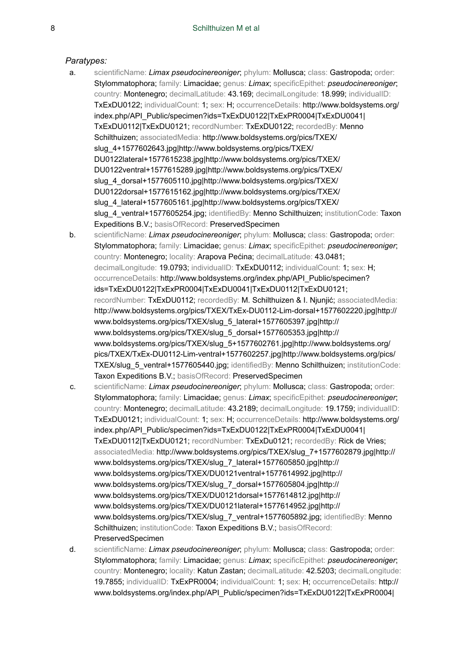#### *Paratypes:*

- a. scientificName: *Limax pseudocinereoniger*; phylum: Mollusca; class: Gastropoda; order: Stylommatophora; family: Limacidae; genus: *Limax*; specificEpithet: *pseudocinereoniger*; country: Montenegro; decimalLatitude: 43.169; decimalLongitude: 18.999; individualID: TxExDU0122; individualCount: 1; sex: H; occurrenceDetails: http://www.boldsystems.org/ index.php/API\_Public/specimen?ids=TxExDU0122|TxExPR0004|TxExDU0041| TxExDU0112|TxExDU0121; recordNumber: TxExDU0122; recordedBy: Menno Schilthuizen; associatedMedia: http://www.boldsystems.org/pics/TXEX/ slug\_4+1577602643.jpg|http://www.boldsystems.org/pics/TXEX/ DU0122lateral+1577615238.jpg|http://www.boldsystems.org/pics/TXEX/ DU0122ventral+1577615289.jpg|http://www.boldsystems.org/pics/TXEX/ slug\_4\_dorsal+1577605110.jpg|http://www.boldsystems.org/pics/TXEX/ DU0122dorsal+1577615162.jpg|http://www.boldsystems.org/pics/TXEX/ slug\_4\_lateral+1577605161.jpg|http://www.boldsystems.org/pics/TXEX/ slug\_4\_ventral+1577605254.jpg; identifiedBy: Menno Schilthuizen; institutionCode: Taxon Expeditions B.V.; basisOfRecord: PreservedSpecimen
- b. scientificName: *Limax pseudocinereoniger*; phylum: Mollusca; class: Gastropoda; order: Stylommatophora; family: Limacidae; genus: *Limax*; specificEpithet: *pseudocinereoniger*; country: Montenegro; locality: Arapova Pećina; decimalLatitude: 43.0481; decimalLongitude: 19.0793; individualID: TxExDU0112; individualCount: 1; sex: H; occurrenceDetails: http://www.boldsystems.org/index.php/API\_Public/specimen? ids=TxExDU0122|TxExPR0004|TxExDU0041|TxExDU0112|TxExDU0121; recordNumber: TxExDU0112; recordedBy: M. Schilthuizen & I. Njunjić; associatedMedia: http://www.boldsystems.org/pics/TXEX/TxEx-DU0112-Lim-dorsal+1577602220.jpg|http:// www.boldsystems.org/pics/TXEX/slug\_5\_lateral+1577605397.jpg|http:// www.boldsystems.org/pics/TXEX/slug\_5\_dorsal+1577605353.jpg|http:// www.boldsystems.org/pics/TXEX/slug\_5+1577602761.jpg|http://www.boldsystems.org/ pics/TXEX/TxEx-DU0112-Lim-ventral+1577602257.jpg|http://www.boldsystems.org/pics/ TXEX/slug\_5\_ventral+1577605440.jpg; identifiedBy: Menno Schilthuizen; institutionCode: Taxon Expeditions B.V.; basisOfRecord: PreservedSpecimen
- c. scientificName: *Limax pseudocinereoniger*; phylum: Mollusca; class: Gastropoda; order: Stylommatophora; family: Limacidae; genus: *Limax*; specificEpithet: *pseudocinereoniger*; country: Montenegro; decimalLatitude: 43.2189; decimalLongitude: 19.1759; individualID: TxExDU0121; individualCount: 1; sex: H; occurrenceDetails: http://www.boldsystems.org/ index.php/API\_Public/specimen?ids=TxExDU0122|TxExPR0004|TxExDU0041| TxExDU0112|TxExDU0121; recordNumber: TxExDu0121; recordedBy: Rick de Vries; associatedMedia: http://www.boldsystems.org/pics/TXEX/slug\_7+1577602879.jpg|http:// www.boldsystems.org/pics/TXEX/slug\_7\_lateral+1577605850.jpg|http:// www.boldsystems.org/pics/TXEX/DU0121ventral+1577614992.jpg|http:// www.boldsystems.org/pics/TXEX/slug\_7\_dorsal+1577605804.jpg|http:// www.boldsystems.org/pics/TXEX/DU0121dorsal+1577614812.jpg|http:// www.boldsystems.org/pics/TXEX/DU0121lateral+1577614952.jpg|http:// www.boldsystems.org/pics/TXEX/slug\_7\_ventral+1577605892.jpg; identifiedBy: Menno Schilthuizen; institutionCode: Taxon Expeditions B.V.; basisOfRecord: PreservedSpecimen
- d. scientificName: *Limax pseudocinereoniger*; phylum: Mollusca; class: Gastropoda; order: Stylommatophora; family: Limacidae; genus: *Limax*; specificEpithet: *pseudocinereoniger*; country: Montenegro; locality: Katun Zastan; decimalLatitude: 42.5203; decimalLongitude: 19.7855; individualID: TxExPR0004; individualCount: 1; sex: H; occurrenceDetails: http:// www.boldsystems.org/index.php/API\_Public/specimen?ids=TxExDU0122|TxExPR0004|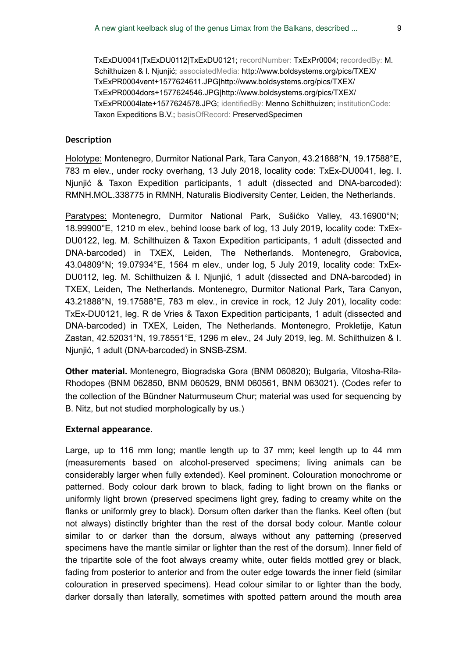TxExDU0041|TxExDU0112|TxExDU0121; recordNumber: TxExPr0004; recordedBy: M. Schilthuizen & I. Njunjić; associatedMedia: http://www.boldsystems.org/pics/TXEX/ TxExPR0004vent+1577624611.JPG|http://www.boldsystems.org/pics/TXEX/ TxExPR0004dors+1577624546.JPG|http://www.boldsystems.org/pics/TXEX/ TxExPR0004late+1577624578.JPG; identifiedBy: Menno Schilthuizen; institutionCode: Taxon Expeditions B.V.; basisOfRecord: PreservedSpecimen

#### **Description**

Holotype: Montenegro, Durmitor National Park, Tara Canyon, 43.21888°N, 19.17588°E, 783 m elev., under rocky overhang, 13 July 2018, locality code: TxEx-DU0041, leg. I. Njunjić & Taxon Expedition participants, 1 adult (dissected and DNA-barcoded): RMNH.MOL.338775 in RMNH, Naturalis Biodiversity Center, Leiden, the Netherlands.

Paratypes: Montenegro, Durmitor National Park, Sušićko Valley, 43.16900°N; 18.99900°E, 1210 m elev., behind loose bark of log, 13 July 2019, locality code: TxEx-DU0122, leg. M. Schilthuizen & Taxon Expedition participants, 1 adult (dissected and DNA-barcoded) in TXEX, Leiden, The Netherlands. Montenegro, Grabovica, 43.04809°N; 19.07934°E, 1564 m elev., under log, 5 July 2019, locality code: TxEx-DU0112, leg. M. Schilthuizen & I. Njunjić, 1 adult (dissected and DNA-barcoded) in TXEX, Leiden, The Netherlands. Montenegro, Durmitor National Park, Tara Canyon, 43.21888°N, 19.17588°E, 783 m elev., in crevice in rock, 12 July 201), locality code: TxEx-DU0121, leg. R de Vries & Taxon Expedition participants, 1 adult (dissected and DNA-barcoded) in TXEX, Leiden, The Netherlands. Montenegro, Prokletije, Katun Zastan, 42.52031°N, 19.78551°E, 1296 m elev., 24 July 2019, leg. M. Schilthuizen & I. Njunjić, 1 adult (DNA-barcoded) in SNSB-ZSM.

**Other material.** Montenegro, Biogradska Gora (BNM 060820); Bulgaria, Vitosha-Rila-Rhodopes (BNM 062850, BNM 060529, BNM 060561, BNM 063021). (Codes refer to the collection of the Bündner Naturmuseum Chur; material was used for sequencing by B. Nitz, but not studied morphologically by us.)

#### **External appearance.**

Large, up to 116 mm long; mantle length up to 37 mm; keel length up to 44 mm (measurements based on alcohol-preserved specimens; living animals can be considerably larger when fully extended). Keel prominent. Colouration monochrome or patterned. Body colour dark brown to black, fading to light brown on the flanks or uniformly light brown (preserved specimens light grey, fading to creamy white on the flanks or uniformly grey to black). Dorsum often darker than the flanks. Keel often (but not always) distinctly brighter than the rest of the dorsal body colour. Mantle colour similar to or darker than the dorsum, always without any patterning (preserved specimens have the mantle similar or lighter than the rest of the dorsum). Inner field of the tripartite sole of the foot always creamy white, outer fields mottled grey or black, fading from posterior to anterior and from the outer edge towards the inner field (similar colouration in preserved specimens). Head colour similar to or lighter than the body, darker dorsally than laterally, sometimes with spotted pattern around the mouth area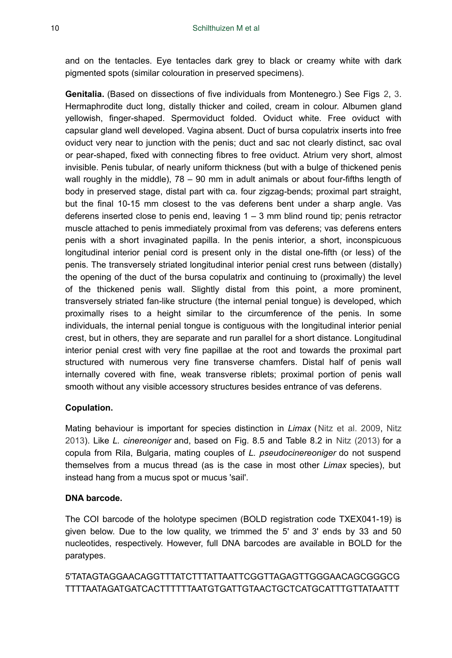and on the tentacles. Eye tentacles dark grey to black or creamy white with dark pigmented spots (similar colouration in preserved specimens).

**Genitalia.** (Based on dissections of five individuals from Montenegro.) See Figs [2,](#page-4-0) [3.](#page-4-1) Hermaphrodite duct long, distally thicker and coiled, cream in colour. Albumen gland yellowish, finger-shaped. Spermoviduct folded. Oviduct white. Free oviduct with capsular gland well developed. Vagina absent. Duct of bursa copulatrix inserts into free oviduct very near to junction with the penis; duct and sac not clearly distinct, sac oval or pear-shaped, fixed with connecting fibres to free oviduct. Atrium very short, almost invisible. Penis tubular, of nearly uniform thickness (but with a bulge of thickened penis wall roughly in the middle), 78 – 90 mm in adult animals or about four-fifths length of body in preserved stage, distal part with ca. four zigzag-bends; proximal part straight, but the final 10-15 mm closest to the vas deferens bent under a sharp angle. Vas deferens inserted close to penis end, leaving  $1 - 3$  mm blind round tip; penis retractor muscle attached to penis immediately proximal from vas deferens; vas deferens enters penis with a short invaginated papilla. In the penis interior, a short, inconspicuous longitudinal interior penial cord is present only in the distal one-fifth (or less) of the penis. The transversely striated longitudinal interior penial crest runs between (distally) the opening of the duct of the bursa copulatrix and continuing to (proximally) the level of the thickened penis wall. Slightly distal from this point, a more prominent, transversely striated fan-like structure (the internal penial tongue) is developed, which proximally rises to a height similar to the circumference of the penis. In some individuals, the internal penial tongue is contiguous with the longitudinal interior penial crest, but in others, they are separate and run parallel for a short distance. Longitudinal interior penial crest with very fine papillae at the root and towards the proximal part structured with numerous very fine transverse chamfers. Distal half of penis wall internally covered with fine, weak transverse riblets; proximal portion of penis wall smooth without any visible accessory structures besides entrance of vas deferens.

## **Copulation.**

Mating behaviour is important for species distinction in *Limax* ([Nitz et al. 2009](#page-13-2), [Nitz](#page-13-4) [2013](#page-13-4)). Like *L. cinereoniger* and, based on Fig. 8.5 and Table 8.2 in [Nitz \(2013\)](#page-13-4) for a copula from Rila, Bulgaria, mating couples of *L. pseudocinereoniger* do not suspend themselves from a mucus thread (as is the case in most other *Limax* species), but instead hang from a mucus spot or mucus 'sail'.

#### **DNA barcode.**

The COI barcode of the holotype specimen (BOLD registration code TXEX041-19) is given below. Due to the low quality, we trimmed the 5' and 3' ends by 33 and 50 nucleotides, respectively. However, full DNA barcodes are available in BOLD for the paratypes.

## 5'TATAGTAGGAACAGGTTTATCTTTATTAATTCGGTTAGAGTTGGGAACAGCGGGCG TTTTAATAGATGATCACTTTTTTAATGTGATTGTAACTGCTCATGCATTTGTTATAATTT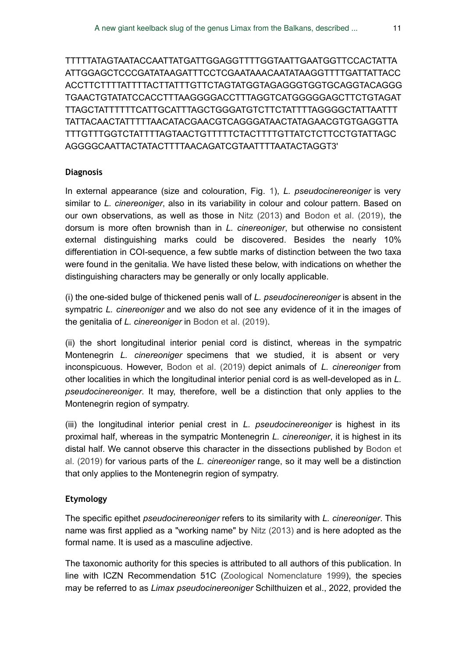TTTTTATAGTAATACCAATTATGATTGGAGGTTTTGGTAATTGAATGGTTCCACTATTA ATTGGAGCTCCCGATATAAGATTTCCTCGAATAAACAATATAAGGTTTTGATTATTACC ACCTTCTTTTATTTTACTTATTTGTTCTAGTATGGTAGAGGGTGGTGCAGGTACAGGG TGAACTGTATATCCACCTTTAAGGGGACCTTTAGGTCATGGGGGAGCTTCTGTAGAT TTAGCTATTTTTTCATTGCATTTAGCTGGGATGTCTTCTATTTTAGGGGCTATTAATTT TATTACAACTATTTTTAACATACGAACGTCAGGGATAACTATAGAACGTGTGAGGTTA TTTGTTTGGTCTATTTTAGTAACTGTTTTTCTACTTTTGTTATCTCTTCCTGTATTAGC AGGGGCAATTACTATACTTTTAACAGATCGTAATTTTAATACTAGGT3'

#### **Diagnosis**

In external appearance (size and colouration, Fig. [1](#page-3-0)), *L. pseudocinereoniger* is very similar to *L. cinereoniger*, also in its variability in colour and colour pattern. Based on our own observations, as well as those in [Nitz \(2013\)](#page-13-4) and [Bodon et al. \(2019\)](#page-12-1), the dorsum is more often brownish than in *L. cinereoniger*, but otherwise no consistent external distinguishing marks could be discovered. Besides the nearly 10% differentiation in COI-sequence, a few subtle marks of distinction between the two taxa were found in the genitalia. We have listed these below, with indications on whether the distinguishing characters may be generally or only locally applicable.

(i) the one-sided bulge of thickened penis wall of *L. pseudocinereoniger* is absent in the sympatric *L. cinereoniger* and we also do not see any evidence of it in the images of the genitalia of *L. cinereoniger* in [Bodon et al. \(2019\).](#page-12-1)

(ii) the short longitudinal interior penial cord is distinct, whereas in the sympatric Montenegrin *L. cinereoniger* specimens that we studied, it is absent or very inconspicuous. However, [Bodon et al. \(2019\)](#page-12-1) depict animals of *L. cinereoniger* from other localities in which the longitudinal interior penial cord is as well-developed as in *L. pseudocinereoniger*. It may, therefore, well be a distinction that only applies to the Montenegrin region of sympatry.

(iii) the longitudinal interior penial crest in *L. pseudocinereoniger* is highest in its proximal half, whereas in the sympatric Montenegrin *L. cinereoniger*, it is highest in its distal half. We cannot observe this character in the dissections published by [Bodon et](#page-12-1) [al. \(2019\)](#page-12-1) for various parts of the *L. cinereoniger* range, so it may well be a distinction that only applies to the Montenegrin region of sympatry.

#### **Etymology**

The specific epithet *pseudocinereoniger* refers to its similarity with *L. cinereoniger*. This name was first applied as a "working name" by [Nitz \(2013\)](#page-13-4) and is here adopted as the formal name. It is used as a masculine adjective.

The taxonomic authority for this species is attributed to all authors of this publication. In line with ICZN Recommendation 51C [\(Zoological Nomenclature 1999\)](#page-14-2), the species may be referred to as *Limax pseudocinereoniger* Schilthuizen et al., 2022, provided the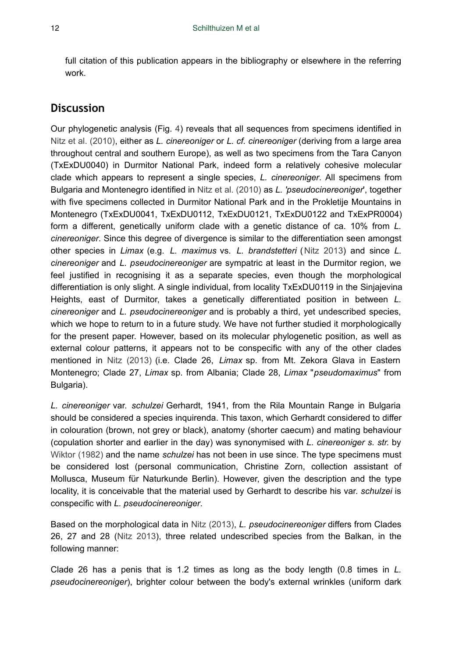full citation of this publication appears in the bibliography or elsewhere in the referring work.

## **Discussion**

Our phylogenetic analysis (Fig. [4](#page-5-0)) reveals that all sequences from specimens identified in [Nitz et al. \(2010\),](#page-13-3) either as *L. cinereoniger* or *L. cf. cinereoniger* (deriving from a large area throughout central and southern Europe), as well as two specimens from the Tara Canyon (TxExDU0040) in Durmitor National Park, indeed form a relatively cohesive molecular clade which appears to represent a single species, *L. cinereoniger*. All specimens from Bulgaria and Montenegro identified in [Nitz et al. \(2010\)](#page-13-3) as *L. 'pseudocinereoniger*', together with five specimens collected in Durmitor National Park and in the Prokletije Mountains in Montenegro (TxExDU0041, TxExDU0112, TxExDU0121, TxExDU0122 and TxExPR0004) form a different, genetically uniform clade with a genetic distance of ca. 10% from *L. cinereoniger*. Since this degree of divergence is similar to the differentiation seen amongst other species in *Limax* (e.g. *L. maximus* vs. *L. brandstetteri* ([Nitz 2013\)](#page-13-4) and since *L. cinereoniger* and *L. pseudocinereoniger* are sympatric at least in the Durmitor region, we feel justified in recognising it as a separate species, even though the morphological differentiation is only slight. A single individual, from locality TxExDU0119 in the Sinjajevina Heights, east of Durmitor, takes a genetically differentiated position in between *L. cinereoniger* and *L. pseudocinereoniger* and is probably a third, yet undescribed species, which we hope to return to in a future study. We have not further studied it morphologically for the present paper. However, based on its molecular phylogenetic position, as well as external colour patterns, it appears not to be conspecific with any of the other clades mentioned in [Nitz \(2013\)](#page-13-4) (i.e. Clade 26, *Limax* sp. from Mt. Zekora Glava in Eastern Montenegro; Clade 27, *Limax* sp. from Albania; Clade 28, *Limax* "*pseudomaximus*" from Bulgaria).

*L. cinereoniger* var. *schulzei* Gerhardt, 1941, from the Rila Mountain Range in Bulgaria should be considered a species inquirenda. This taxon, which Gerhardt considered to differ in colouration (brown, not grey or black), anatomy (shorter caecum) and mating behaviour (copulation shorter and earlier in the day) was synonymised with *L. cinereoniger s. str.* by [Wiktor \(1982\)](#page-14-1) and the name *schulzei* has not been in use since. The type specimens must be considered lost (personal communication, Christine Zorn, collection assistant of Mollusca, Museum für Naturkunde Berlin). However, given the description and the type locality, it is conceivable that the material used by Gerhardt to describe his var. *schulzei* is conspecific with *L. pseudocinereoniger*.

Based on the morphological data in [Nitz \(2013\),](#page-13-4) *L. pseudocinereoniger* differs from Clades 26, 27 and 28 [\(Nitz 2013](#page-13-4)), three related undescribed species from the Balkan, in the following manner:

Clade 26 has a penis that is 1.2 times as long as the body length (0.8 times in *L. pseudocinereoniger*), brighter colour between the body's external wrinkles (uniform dark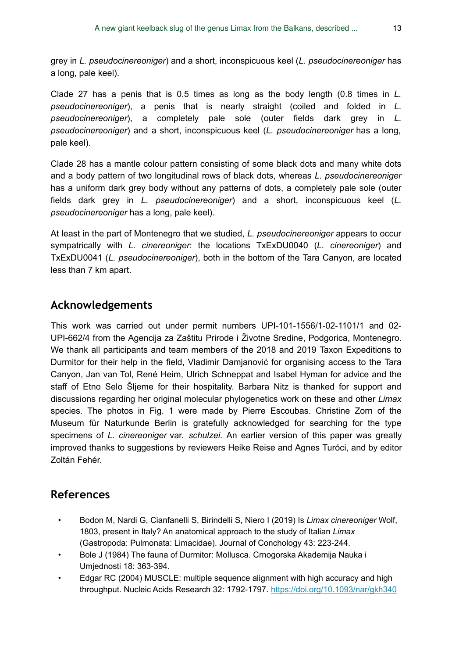grey in *L. pseudocinereoniger*) and a short, inconspicuous keel (*L. pseudocinereoniger* has a long, pale keel).

Clade 27 has a penis that is 0.5 times as long as the body length (0.8 times in *L. pseudocinereoniger*), a penis that is nearly straight (coiled and folded in *L. pseudocinereoniger*), a completely pale sole (outer fields dark grey in *L. pseudocinereoniger*) and a short, inconspicuous keel (*L. pseudocinereoniger* has a long, pale keel).

Clade 28 has a mantle colour pattern consisting of some black dots and many white dots and a body pattern of two longitudinal rows of black dots, whereas *L. pseudocinereoniger* has a uniform dark grey body without any patterns of dots, a completely pale sole (outer fields dark grey in *L. pseudocinereoniger*) and a short, inconspicuous keel (*L. pseudocinereoniger* has a long, pale keel).

At least in the part of Montenegro that we studied, *L. pseudocinereoniger* appears to occur sympatrically with *L. cinereoniger*: the locations TxExDU0040 (*L. cinereoniger*) and TxExDU0041 (*L. pseudocinereoniger*), both in the bottom of the Tara Canyon, are located less than 7 km apart.

# **Acknowledgements**

This work was carried out under permit numbers UPI-101-1556/1-02-1101/1 and 02- UPI-662/4 from the Agencija za Zaštitu Prirode i Životne Sredine, Podgorica, Montenegro. We thank all participants and team members of the 2018 and 2019 Taxon Expeditions to Durmitor for their help in the field, Vladimir Damjanović for organising access to the Tara Canyon, Jan van Tol, René Heim, Ulrich Schneppat and Isabel Hyman for advice and the staff of Etno Selo Šljeme for their hospitality. Barbara Nitz is thanked for support and discussions regarding her original molecular phylogenetics work on these and other *Limax* species. The photos in Fig. 1 were made by Pierre Escoubas. Christine Zorn of the Museum für Naturkunde Berlin is gratefully acknowledged for searching for the type specimens of *L. cinereoniger* var. *schulzei*. An earlier version of this paper was greatly improved thanks to suggestions by reviewers Heike Reise and Agnes Turóci, and by editor Zoltán Fehér.

## **References**

- <span id="page-12-1"></span>• Bodon M, Nardi G, Cianfanelli S, Birindelli S, Niero I (2019) Is *Limax cinereoniger* Wolf, 1803, present in Italy? An anatomical approach to the study of Italian *Limax* (Gastropoda: Pulmonata: Limacidae). Journal of Conchology 43: 223‑244.
- <span id="page-12-0"></span>• Bole J (1984) The fauna of Durmitor: Mollusca. Crnogorska Akademija Nauka i Umjednosti 18: 363‑394.
- <span id="page-12-2"></span>• Edgar RC (2004) MUSCLE: multiple sequence alignment with high accuracy and high throughput. Nucleic Acids Research 32: 1792‑1797.<https://doi.org/10.1093/nar/gkh340>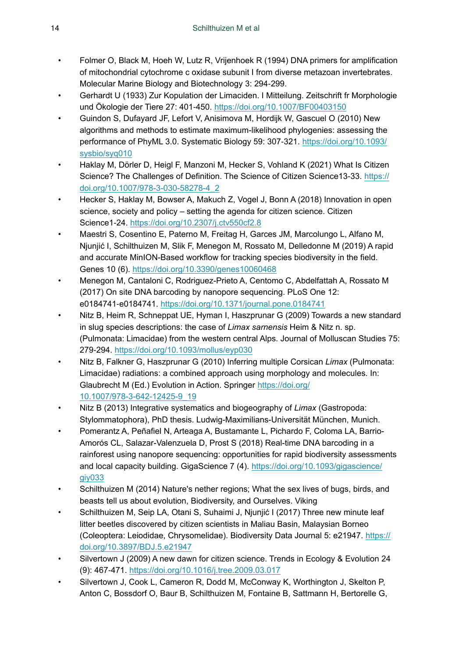- <span id="page-13-13"></span>• Folmer O, Black M, Hoeh W, Lutz R, Vrijenhoek R (1994) DNA primers for amplification of mitochondrial cytochrome c oxidase subunit I from diverse metazoan invertebrates. Molecular Marine Biology and Biotechnology 3: 294‑299.
- <span id="page-13-0"></span>• Gerhardt U (1933) Zur Kopulation der Limaciden. I Mitteilung. Zeitschrift fr Morphologie und Ökologie der Tiere 27: 401‑450. <https://doi.org/10.1007/BF00403150>
- <span id="page-13-14"></span>• Guindon S, Dufayard JF, Lefort V, Anisimova M, Hordijk W, Gascuel O (2010) New algorithms and methods to estimate maximum-likelihood phylogenies: assessing the performance of PhyML 3.0. Systematic Biology 59: 307‑321. [https://doi.org/10.1093/](https://doi.org/10.1093/sysbio/syq010) [sysbio/syq010](https://doi.org/10.1093/sysbio/syq010)
- <span id="page-13-8"></span>• Haklay M, Dörler D, Heigl F, Manzoni M, Hecker S, Vohland K (2021) What Is Citizen Science? The Challenges of Definition. The Science of Citizen Science13-33. [https://](https://doi.org/10.1007/978-3-030-58278-4_2) [doi.org/10.1007/978-3-030-58278-4\\_2](https://doi.org/10.1007/978-3-030-58278-4_2)
- <span id="page-13-7"></span>• Hecker S, Haklay M, Bowser A, Makuch Z, Vogel J, Bonn A (2018) Innovation in open science, society and policy – setting the agenda for citizen science. Citizen Science1‑24. <https://doi.org/10.2307/j.ctv550cf2.8>
- <span id="page-13-11"></span>• Maestri S, Cosentino E, Paterno M, Freitag H, Garces JM, Marcolungo L, Alfano M, Njunjić I, Schilthuizen M, Slik F, Menegon M, Rossato M, Delledonne M (2019) A rapid and accurate MinION-Based workflow for tracking species biodiversity in the field. Genes 10 (6).<https://doi.org/10.3390/genes10060468>
- <span id="page-13-12"></span>• Menegon M, Cantaloni C, Rodriguez-Prieto A, Centomo C, Abdelfattah A, Rossato M (2017) On site DNA barcoding by nanopore sequencing. PLoS One 12: e0184741‑e0184741.<https://doi.org/10.1371/journal.pone.0184741>
- <span id="page-13-2"></span>• Nitz B, Heim R, Schneppat UE, Hyman I, Haszprunar G (2009) Towards a new standard in slug species descriptions: the case of *Limax sarnensis* Heim & Nitz n. sp. (Pulmonata: Limacidae) from the western central Alps. Journal of Molluscan Studies 75: 279‑294. <https://doi.org/10.1093/mollus/eyp030>
- <span id="page-13-3"></span>• Nitz B, Falkner G, Haszprunar G (2010) Inferring multiple Corsican *Limax* (Pulmonata: Limacidae) radiations: a combined approach using morphology and molecules. In: Glaubrecht M (Ed.) Evolution in Action. Springer [https://doi.org/](https://doi.org/10.1007/978-3-642-12425-9_19) [10.1007/978-3-642-12425-9\\_19](https://doi.org/10.1007/978-3-642-12425-9_19)
- <span id="page-13-4"></span>• Nitz B (2013) Integrative systematics and biogeography of *Limax* (Gastropoda: Stylommatophora), PhD thesis. Ludwig-Maximilians-Universität München, Munich.
- <span id="page-13-10"></span>• Pomerantz A, Peñafiel N, Arteaga A, Bustamante L, Pichardo F, Coloma LA, Barrio-Amorós CL, Salazar-Valenzuela D, Prost S (2018) Real-time DNA barcoding in a rainforest using nanopore sequencing: opportunities for rapid biodiversity assessments and local capacity building. GigaScience 7 (4). [https://doi.org/10.1093/gigascience/](https://doi.org/10.1093/gigascience/giy033) [giy033](https://doi.org/10.1093/gigascience/giy033)
- <span id="page-13-1"></span>Schilthuizen M (2014) Nature's nether regions; What the sex lives of bugs, birds, and beasts tell us about evolution, Biodiversity, and Ourselves. Viking
- <span id="page-13-9"></span>• Schilthuizen M, Seip LA, Otani S, Suhaimi J, Njunjić I (2017) Three new minute leaf litter beetles discovered by citizen scientists in Maliau Basin, Malaysian Borneo (Coleoptera: Leiodidae, Chrysomelidae). Biodiversity Data Journal 5: e21947. [https://](https://doi.org/10.3897/BDJ.5.e21947) [doi.org/10.3897/BDJ.5.e21947](https://doi.org/10.3897/BDJ.5.e21947)
- <span id="page-13-5"></span>• Silvertown J (2009) A new dawn for citizen science. Trends in Ecology & Evolution 24 (9): 467‑471. <https://doi.org/10.1016/j.tree.2009.03.017>
- <span id="page-13-6"></span>• Silvertown J, Cook L, Cameron R, Dodd M, McConway K, Worthington J, Skelton P, Anton C, Bossdorf O, Baur B, Schilthuizen M, Fontaine B, Sattmann H, Bertorelle G,